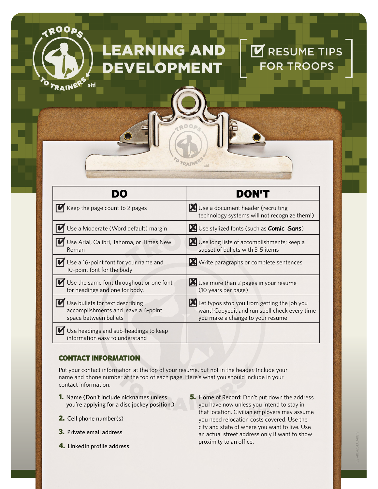# RNING AND **OPMENT**

#### DO DON'T  $\mathbf{V}$  Keep the page count to 2 pages  $\mathbf{V}$  Use a document header (recruiting technology systems will not recognize them!) Use a Moderate (Word default) margin **N** Use stylized fonts (such as **Comic Sans**) Use Arial, Calibri, Tahoma, or Times New Roman Use long lists of accomplishments; keep a subset of bullets with 3-5 items Use a 16-point font for your name and 10-point font for the body **X** Write paragraphs or complete sentences Use the same font throughout or one font for headings and one for body. Use more than 2 pages in your resume (10 years per page) Use bullets for text describing accomplishments and leave a 6-point space between bullets Let typos stop you from getting the job you want! Copyedit and run spell check every time you make a change to your resume  $\bigcup$  Use headings and sub-headings to keep information easy to understand

OTRAINE

## CONTACT INFORMATION

**EQOOA** 

TRAINE

atd

Put your contact information at the top of your resume, but not in the header. Include your name and phone number at the top of each page. Here's what you should include in your contact information:

- 1. Name (Don't include nicknames unless you're applying for a disc jockey position.)
- 2. Cell phone number(s)
- 3. Private email address
- 4. LinkedIn profile address

**5.** Home of Record: Don't put down the address you have now unless you intend to stay in that location. Civilian employers may assume you need relocation costs covered. Use the city and state of where you want to live. Use an actual street address only if want to show proximity to an office.

RESUME TIPS

**TROOPS**